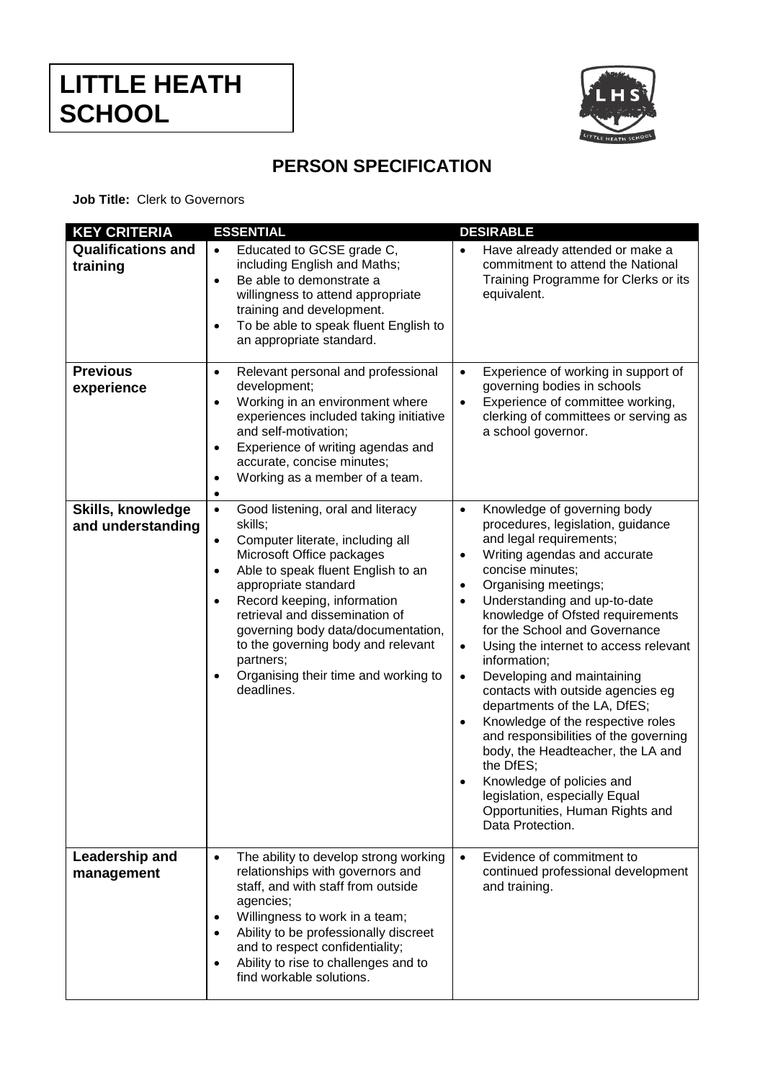

## **PERSON SPECIFICATION**

**Job Title:** Clerk to Governors

| <b>KEY CRITERIA</b>                    | <b>ESSENTIAL</b>                                                                                                                                                                                                                                                                                                                                                                                                                                             | <b>DESIRABLE</b>                                                                                                                                                                                                                                                                                                                                                                                                                                                                                                                                                                                                                                                                                                                                                                                      |
|----------------------------------------|--------------------------------------------------------------------------------------------------------------------------------------------------------------------------------------------------------------------------------------------------------------------------------------------------------------------------------------------------------------------------------------------------------------------------------------------------------------|-------------------------------------------------------------------------------------------------------------------------------------------------------------------------------------------------------------------------------------------------------------------------------------------------------------------------------------------------------------------------------------------------------------------------------------------------------------------------------------------------------------------------------------------------------------------------------------------------------------------------------------------------------------------------------------------------------------------------------------------------------------------------------------------------------|
| <b>Qualifications and</b><br>training  | Educated to GCSE grade C,<br>$\bullet$<br>including English and Maths;<br>Be able to demonstrate a<br>$\bullet$<br>willingness to attend appropriate<br>training and development.<br>To be able to speak fluent English to<br>$\bullet$<br>an appropriate standard.                                                                                                                                                                                          | Have already attended or make a<br>$\bullet$<br>commitment to attend the National<br>Training Programme for Clerks or its<br>equivalent.                                                                                                                                                                                                                                                                                                                                                                                                                                                                                                                                                                                                                                                              |
| <b>Previous</b><br>experience          | Relevant personal and professional<br>$\bullet$<br>development;<br>Working in an environment where<br>$\bullet$<br>experiences included taking initiative<br>and self-motivation;<br>Experience of writing agendas and<br>$\bullet$<br>accurate, concise minutes;<br>Working as a member of a team.<br>$\bullet$<br>٠                                                                                                                                        | Experience of working in support of<br>$\bullet$<br>governing bodies in schools<br>Experience of committee working,<br>$\bullet$<br>clerking of committees or serving as<br>a school governor.                                                                                                                                                                                                                                                                                                                                                                                                                                                                                                                                                                                                        |
| Skills, knowledge<br>and understanding | $\bullet$<br>Good listening, oral and literacy<br>skills;<br>Computer literate, including all<br>$\bullet$<br>Microsoft Office packages<br>Able to speak fluent English to an<br>$\bullet$<br>appropriate standard<br>Record keeping, information<br>$\bullet$<br>retrieval and dissemination of<br>governing body data/documentation,<br>to the governing body and relevant<br>partners;<br>Organising their time and working to<br>$\bullet$<br>deadlines. | Knowledge of governing body<br>$\bullet$<br>procedures, legislation, guidance<br>and legal requirements;<br>Writing agendas and accurate<br>$\bullet$<br>concise minutes;<br>Organising meetings;<br>$\bullet$<br>Understanding and up-to-date<br>$\bullet$<br>knowledge of Ofsted requirements<br>for the School and Governance<br>Using the internet to access relevant<br>$\bullet$<br>information;<br>Developing and maintaining<br>$\bullet$<br>contacts with outside agencies eg<br>departments of the LA, DfES;<br>Knowledge of the respective roles<br>$\bullet$<br>and responsibilities of the governing<br>body, the Headteacher, the LA and<br>the DfES;<br>Knowledge of policies and<br>$\bullet$<br>legislation, especially Equal<br>Opportunities, Human Rights and<br>Data Protection. |
| Leadership and<br>management           | The ability to develop strong working<br>$\bullet$<br>relationships with governors and<br>staff, and with staff from outside<br>agencies;<br>Willingness to work in a team;<br>Ability to be professionally discreet<br>and to respect confidentiality;<br>Ability to rise to challenges and to<br>find workable solutions.                                                                                                                                  | Evidence of commitment to<br>$\bullet$<br>continued professional development<br>and training.                                                                                                                                                                                                                                                                                                                                                                                                                                                                                                                                                                                                                                                                                                         |